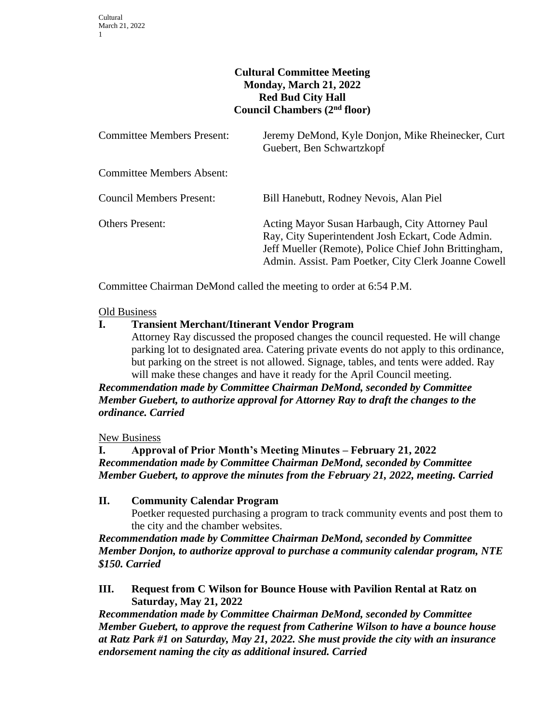## **Cultural Committee Meeting Monday, March 21, 2022 Red Bud City Hall Council Chambers (2nd floor)**

| <b>Committee Members Present:</b> | Jeremy DeMond, Kyle Donjon, Mike Rheinecker, Curt<br>Guebert, Ben Schwartzkopf                                                                                                                                        |
|-----------------------------------|-----------------------------------------------------------------------------------------------------------------------------------------------------------------------------------------------------------------------|
| <b>Committee Members Absent:</b>  |                                                                                                                                                                                                                       |
| <b>Council Members Present:</b>   | Bill Hanebutt, Rodney Nevois, Alan Piel                                                                                                                                                                               |
| <b>Others Present:</b>            | Acting Mayor Susan Harbaugh, City Attorney Paul<br>Ray, City Superintendent Josh Eckart, Code Admin.<br>Jeff Mueller (Remote), Police Chief John Brittingham,<br>Admin. Assist. Pam Poetker, City Clerk Joanne Cowell |

Committee Chairman DeMond called the meeting to order at 6:54 P.M.

#### Old Business

### **I. Transient Merchant/Itinerant Vendor Program**

Attorney Ray discussed the proposed changes the council requested. He will change parking lot to designated area. Catering private events do not apply to this ordinance, but parking on the street is not allowed. Signage, tables, and tents were added. Ray will make these changes and have it ready for the April Council meeting.

# *Recommendation made by Committee Chairman DeMond, seconded by Committee Member Guebert, to authorize approval for Attorney Ray to draft the changes to the ordinance. Carried*

### New Business

### **I. Approval of Prior Month's Meeting Minutes – February 21, 2022** *Recommendation made by Committee Chairman DeMond, seconded by Committee Member Guebert, to approve the minutes from the February 21, 2022, meeting. Carried*

# **II. Community Calendar Program** Poetker requested purchasing a program to track community events and post them to the city and the chamber websites.

*Recommendation made by Committee Chairman DeMond, seconded by Committee Member Donjon, to authorize approval to purchase a community calendar program, NTE \$150. Carried*

## **III. Request from C Wilson for Bounce House with Pavilion Rental at Ratz on Saturday, May 21, 2022**

*Recommendation made by Committee Chairman DeMond, seconded by Committee Member Guebert, to approve the request from Catherine Wilson to have a bounce house at Ratz Park #1 on Saturday, May 21, 2022. She must provide the city with an insurance endorsement naming the city as additional insured. Carried*